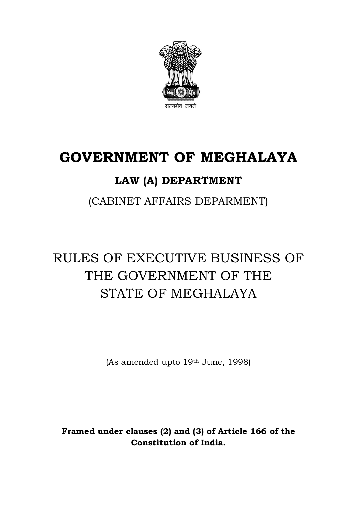

# **GOVERNMENT OF MEGHALAYA**

# **LAW (A) DEPARTMENT**

(CABINET AFFAIRS DEPARMENT)

# RULES OF EXECUTIVE BUSINESS OF THE GOVERNMENT OF THE STATE OF MEGHALAYA

(As amended upto 19th June, 1998)

**Framed under clauses (2) and (3) of Article 166 of the Constitution of India.**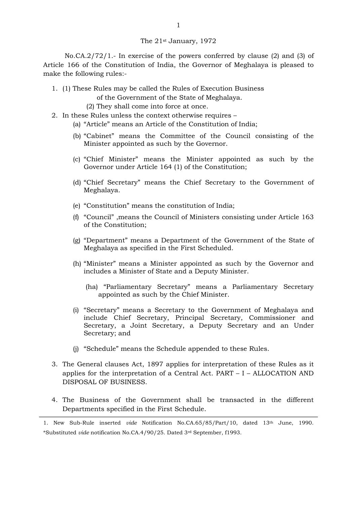#### The 21st January, 1972

No.CA.2/72/1.- In exercise of the powers conferred by clause (2) and (3) of Article 166 of the Constitution of India, the Governor of Meghalaya is pleased to make the following rules:-

1. (1) These Rules may be called the Rules of Execution Business

of the Government of the State of Meghalaya.

- (2) They shall come into force at once.
- 2. In these Rules unless the context otherwise requires
	- (a) "Article" means an Article of the Constitution of India;
	- (b) "Cabinet" means the Committee of the Council consisting of the Minister appointed as such by the Governor.
	- (c) "Chief Minister" means the Minister appointed as such by the Governor under Article 164 (1) of the Constitution;
	- (d) "Chief Secretary" means the Chief Secretary to the Government of Meghalaya.
	- (e) "Constitution" means the constitution of India;
	- (f) "Council" ,means the Council of Ministers consisting under Article 163 of the Constitution;
	- (g) "Department" means a Department of the Government of the State of Meghalaya as specified in the First Scheduled.
	- (h) "Minister" means a Minister appointed as such by the Governor and includes a Minister of State and a Deputy Minister.
		- (ha) "Parliamentary Secretary" means a Parliamentary Secretary appointed as such by the Chief Minister.
	- (i) "Secretary" means a Secretary to the Government of Meghalaya and include Chief Secretary, Principal Secretary, Commissioner and Secretary, a Joint Secretary, a Deputy Secretary and an Under Secretary; and
	- (j) "Schedule" means the Schedule appended to these Rules.
- 3. The General clauses Act, 1897 applies for interpretation of these Rules as it applies for the interpretation of a Central Act. PART – I – ALLOCATION AND DISPOSAL OF BUSINESS.
- 4. The Business of the Government shall be transacted in the different Departments specified in the First Schedule.

<sup>1.</sup> New Sub-Rule inserted *vide* Notification No.CA.65/85/Part/10, dated 13th June, 1990. \*Substituted *vide* notification No.CA.4/90/25. Dated 3rd September, f1993.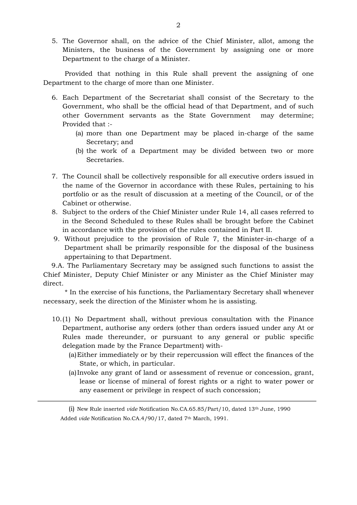5. The Governor shall, on the advice of the Chief Minister, allot, among the Ministers, the business of the Government by assigning one or more Department to the charge of a Minister.

Provided that nothing in this Rule shall prevent the assigning of one Department to the charge of more than one Minister.

- 6. Each Department of the Secretariat shall consist of the Secretary to the Government, who shall be the official head of that Department, and of such other Government servants as the State Government may determine; Provided that :-
	- (a) more than one Department may be placed in-charge of the same Secretary; and
	- (b) the work of a Department may be divided between two or more Secretaries.
- 7. The Council shall be collectively responsible for all executive orders issued in the name of the Governor in accordance with these Rules, pertaining to his portfolio or as the result of discussion at a meeting of the Council, or of the Cabinet or otherwise.
- 8. Subject to the orders of the Chief Minister under Rule 14, all cases referred to in the Second Scheduled to these Rules shall be brought before the Cabinet in accordance with the provision of the rules contained in Part II.
- 9. Without prejudice to the provision of Rule 7, the Minister-in-charge of a Department shall be primarily responsible for the disposal of the business appertaining to that Department.

 9.A. The Parliamentary Secretary may be assigned such functions to assist the Chief Minister, Deputy Chief Minister or any Minister as the Chief Minister may direct.

\* In the exercise of his functions, the Parliamentary Secretary shall whenever necessary, seek the direction of the Minister whom he is assisting.

- 10.(1) No Department shall, without previous consultation with the Finance Department, authorise any orders (other than orders issued under any At or Rules made thereunder, or pursuant to any general or public specific delegation made by the France Department) with-
	- (a)Either immediately or by their repercussion will effect the finances of the State, or which, in particular.
	- (a)Invoke any grant of land or assessment of revenue or concession, grant, lease or license of mineral of forest rights or a right to water power or any easement or privilege in respect of such concession;

(i) New Rule inserted *vide* Notification No.CA.65.85/Part/10, dated 13th June, 1990 Added *vide* Notification No.CA.4/90/17, dated 7th March, 1991.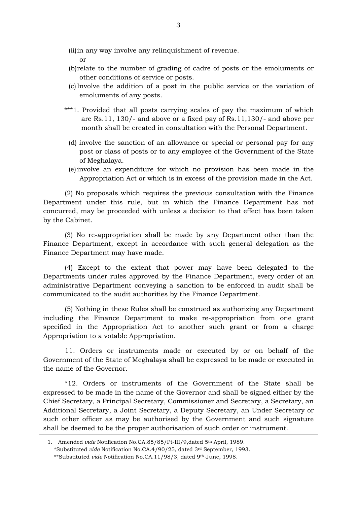(ii)in any way involve any relinquishment of revenue.

or

- (b)relate to the number of grading of cadre of posts or the emoluments or other conditions of service or posts.
- (c)Involve the addition of a post in the public service or the variation of emoluments of any posts.
- \*\*\*1. Provided that all posts carrying scales of pay the maximum of which are Rs.11, 130/- and above or a fixed pay of Rs.11,130/- and above per month shall be created in consultation with the Personal Department.
	- (d) involve the sanction of an allowance or special or personal pay for any post or class of posts or to any employee of the Government of the State of Meghalaya.
	- (e)involve an expenditure for which no provision has been made in the Appropriation Act or which is in excess of the provision made in the Act.

(2) No proposals which requires the previous consultation with the Finance Department under this rule, but in which the Finance Department has not concurred, may be proceeded with unless a decision to that effect has been taken by the Cabinet.

(3) No re-appropriation shall be made by any Department other than the Finance Department, except in accordance with such general delegation as the Finance Department may have made.

(4) Except to the extent that power may have been delegated to the Departments under rules approved by the Finance Department, every order of an administrative Department conveying a sanction to be enforced in audit shall be communicated to the audit authorities by the Finance Department.

(5) Nothing in these Rules shall be construed as authorizing any Department including the Finance Department to make re-appropriation from one grant specified in the Appropriation Act to another such grant or from a charge Appropriation to a votable Appropriation.

11. Orders or instruments made or executed by or on behalf of the Government of the State of Meghalaya shall be expressed to be made or executed in the name of the Governor.

\*12. Orders or instruments of the Government of the State shall be expressed to be made in the name of the Governor and shall be signed either by the Chief Secretary, a Principal Secretary, Commissioner and Secretary, a Secretary, an Additional Secretary, a Joint Secretary, a Deputy Secretary, an Under Secretary or such other officer as may be authorised by the Government and such signature shall be deemed to be the proper authorisation of such order or instrument.

<sup>1.</sup> Amended *vide* Notification No.CA.85/85/Pt-III/9,dated 5th April, 1989. \*Substituted *vide* Notification No.CA.4/90/25, dated 3rd September, 1993. \*\*Substituted *vide* Notification No.CA.11/98/3, dated 9th June, 1998.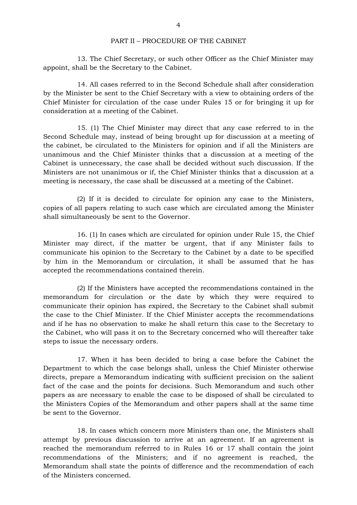## PART II – PROCEDURE OF THE CABINET

13. The Chief Secretary, or such other Officer as the Chief Minister may appoint, shall be the Secretary to the Cabinet.

14. All cases referred to in the Second Schedule shall after consideration by the Minister be sent to the Chief Secretary with a view to obtaining orders of the Chief Minister for circulation of the case under Rules 15 or for bringing it up for consideration at a meeting of the Cabinet.

15. (1) The Chief Minister may direct that any case referred to in the Second Schedule may, instead of being brought up for discussion at a meeting of the cabinet, be circulated to the Ministers for opinion and if all the Ministers are unanimous and the Chief Minister thinks that a discussion at a meeting of the Cabinet is unnecessary, the case shall be decided without such discussion. If the Ministers are not unanimous or if, the Chief Minister thinks that a discussion at a meeting is necessary, the case shall be discussed at a meeting of the Cabinet.

(2) If it is decided to circulate for opinion any case to the Ministers, copies of all papers relating to such case which are circulated among the Minister shall simultaneously be sent to the Governor.

16. (1) In cases which are circulated for opinion under Rule 15, the Chief Minister may direct, if the matter be urgent, that if any Minister fails to communicate his opinion to the Secretary to the Cabinet by a date to be specified by him in the Memorandum or circulation, it shall be assumed that he has accepted the recommendations contained therein.

(2) If the Ministers have accepted the recommendations contained in the memorandum for circulation or the date by which they were required to communicate their opinion has expired, the Secretary to the Cabinet shall submit the case to the Chief Minister. If the Chief Minister accepts the recommendations and if he has no observation to make he shall return this case to the Secretary to the Cabinet, who will pass it on to the Secretary concerned who will thereafter take steps to issue the necessary orders.

17. When it has been decided to bring a case before the Cabinet the Department to which the case belongs shall, unless the Chief Minister otherwise directs, prepare a Memorandum indicating with sufficient precision on the salient fact of the case and the points for decisions. Such Memorandum and such other papers as are necessary to enable the case to be disposed of shall be circulated to the Ministers Copies of the Memorandum and other papers shall at the same time be sent to the Governor.

18. In cases which concern more Ministers than one, the Ministers shall attempt by previous discussion to arrive at an agreement. If an agreement is reached the memorandum referred to in Rules 16 or 17 shall contain the joint recommendations of the Ministers; and if no agreement is reached, the Memorandum shall state the points of difference and the recommendation of each of the Ministers concerned.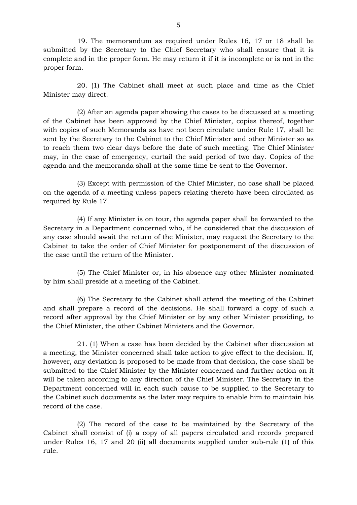19. The memorandum as required under Rules 16, 17 or 18 shall be submitted by the Secretary to the Chief Secretary who shall ensure that it is complete and in the proper form. He may return it if it is incomplete or is not in the proper form.

20. (1) The Cabinet shall meet at such place and time as the Chief Minister may direct.

(2) After an agenda paper showing the cases to be discussed at a meeting of the Cabinet has been approved by the Chief Minister, copies thereof, together with copies of such Memoranda as have not been circulate under Rule 17, shall be sent by the Secretary to the Cabinet to the Chief Minister and other Minister so as to reach them two clear days before the date of such meeting. The Chief Minister may, in the case of emergency, curtail the said period of two day. Copies of the agenda and the memoranda shall at the same time be sent to the Governor.

(3) Except with permission of the Chief Minister, no case shall be placed on the agenda of a meeting unless papers relating thereto have been circulated as required by Rule 17.

(4) If any Minister is on tour, the agenda paper shall be forwarded to the Secretary in a Department concerned who, if he considered that the discussion of any case should await the return of the Minister, may request the Secretary to the Cabinet to take the order of Chief Minister for postponement of the discussion of the case until the return of the Minister.

(5) The Chief Minister or, in his absence any other Minister nominated by him shall preside at a meeting of the Cabinet.

(6) The Secretary to the Cabinet shall attend the meeting of the Cabinet and shall prepare a record of the decisions. He shall forward a copy of such a record after approval by the Chief Minister or by any other Minister presiding, to the Chief Minister, the other Cabinet Ministers and the Governor.

21. (1) When a case has been decided by the Cabinet after discussion at a meeting, the Minister concerned shall take action to give effect to the decision. If, however, any deviation is proposed to be made from that decision, the case shall be submitted to the Chief Minister by the Minister concerned and further action on it will be taken according to any direction of the Chief Minister. The Secretary in the Department concerned will in each such cause to be supplied to the Secretary to the Cabinet such documents as the later may require to enable him to maintain his record of the case.

(2) The record of the case to be maintained by the Secretary of the Cabinet shall consist of (i) a copy of all papers circulated and records prepared under Rules 16, 17 and 20 (ii) all documents supplied under sub-rule (1) of this rule.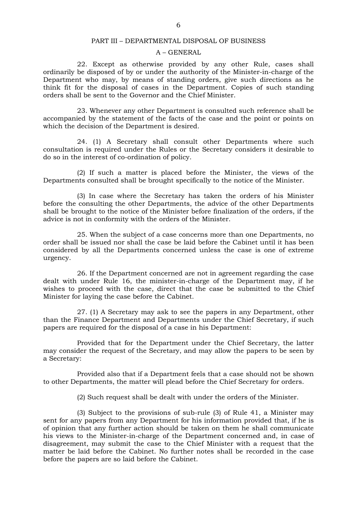#### PART III – DEPARTMENTAL DISPOSAL OF BUSINESS

#### A – GENERAL

22. Except as otherwise provided by any other Rule, cases shall ordinarily be disposed of by or under the authority of the Minister-in-charge of the Department who may, by means of standing orders, give such directions as he think fit for the disposal of cases in the Department. Copies of such standing orders shall be sent to the Governor and the Chief Minister.

23. Whenever any other Department is consulted such reference shall be accompanied by the statement of the facts of the case and the point or points on which the decision of the Department is desired.

24. (1) A Secretary shall consult other Departments where such consultation is required under the Rules or the Secretary considers it desirable to do so in the interest of co-ordination of policy.

(2) If such a matter is placed before the Minister, the views of the Departments consulted shall be brought specifically to the notice of the Minister.

(3) In case where the Secretary has taken the orders of his Minister before the consulting the other Departments, the advice of the other Departments shall be brought to the notice of the Minister before finalization of the orders, if the advice is not in conformity with the orders of the Minister.

25. When the subject of a case concerns more than one Departments, no order shall be issued nor shall the case be laid before the Cabinet until it has been considered by all the Departments concerned unless the case is one of extreme urgency.

26. If the Department concerned are not in agreement regarding the case dealt with under Rule 16, the minister-in-charge of the Department may, if he wishes to proceed with the case, direct that the case be submitted to the Chief Minister for laying the case before the Cabinet.

27. (1) A Secretary may ask to see the papers in any Department, other than the Finance Department and Departments under the Chief Secretary, if such papers are required for the disposal of a case in his Department:

Provided that for the Department under the Chief Secretary, the latter may consider the request of the Secretary, and may allow the papers to be seen by a Secretary:

Provided also that if a Department feels that a case should not be shown to other Departments, the matter will plead before the Chief Secretary for orders.

(2) Such request shall be dealt with under the orders of the Minister.

(3) Subject to the provisions of sub-rule (3) of Rule 41, a Minister may sent for any papers from any Department for his information provided that, if he is of opinion that any further action should be taken on them he shall communicate his views to the Minister-in-charge of the Department concerned and, in case of disagreement, may submit the case to the Chief Minister with a request that the matter be laid before the Cabinet. No further notes shall be recorded in the case before the papers are so laid before the Cabinet.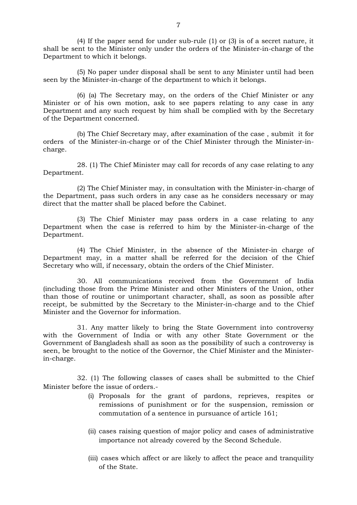(4) If the paper send for under sub-rule (1) or (3) is of a secret nature, it shall be sent to the Minister only under the orders of the Minister-in-charge of the Department to which it belongs.

(5) No paper under disposal shall be sent to any Minister until had been seen by the Minister-in-charge of the department to which it belongs.

(6) (a) The Secretary may, on the orders of the Chief Minister or any Minister or of his own motion, ask to see papers relating to any case in any Department and any such request by him shall be complied with by the Secretary of the Department concerned.

(b) The Chief Secretary may, after examination of the case , submit it for orders of the Minister-in-charge or of the Chief Minister through the Minister-incharge.

28. (1) The Chief Minister may call for records of any case relating to any Department.

(2) The Chief Minister may, in consultation with the Minister-in-charge of the Department, pass such orders in any case as he considers necessary or may direct that the matter shall be placed before the Cabinet.

(3) The Chief Minister may pass orders in a case relating to any Department when the case is referred to him by the Minister-in-charge of the Department.

(4) The Chief Minister, in the absence of the Minister-in charge of Department may, in a matter shall be referred for the decision of the Chief Secretary who will, if necessary, obtain the orders of the Chief Minister.

30. All communications received from the Government of India (including those from the Prime Minister and other Ministers of the Union, other than those of routine or unimportant character, shall, as soon as possible after receipt, be submitted by the Secretary to the Minister-in-charge and to the Chief Minister and the Governor for information.

31. Any matter likely to bring the State Government into controversy with the Government of India or with any other State Government or the Government of Bangladesh shall as soon as the possibility of such a controversy is seen, be brought to the notice of the Governor, the Chief Minister and the Ministerin-charge.

32. (1) The following classes of cases shall be submitted to the Chief Minister before the issue of orders.-

- (i) Proposals for the grant of pardons, reprieves, respites or remissions of punishment or for the suspension, remission or commutation of a sentence in pursuance of article 161;
- (ii) cases raising question of major policy and cases of administrative importance not already covered by the Second Schedule.
- (iii) cases which affect or are likely to affect the peace and tranquility of the State.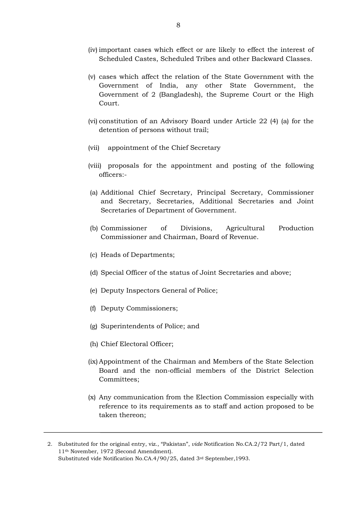- (iv) important cases which effect or are likely to effect the interest of Scheduled Castes, Scheduled Tribes and other Backward Classes.
- (v) cases which affect the relation of the State Government with the Government of India, any other State Government, the Government of 2 (Bangladesh), the Supreme Court or the High Court.
- (vi) constitution of an Advisory Board under Article 22 (4) (a) for the detention of persons without trail;
- (vii) appointment of the Chief Secretary
- (viii) proposals for the appointment and posting of the following officers:-
- (a) Additional Chief Secretary, Principal Secretary, Commissioner and Secretary, Secretaries, Additional Secretaries and Joint Secretaries of Department of Government.
- (b) Commissioner of Divisions, Agricultural Production Commissioner and Chairman, Board of Revenue.
- (c) Heads of Departments;
- (d) Special Officer of the status of Joint Secretaries and above;
- (e) Deputy Inspectors General of Police;
- (f) Deputy Commissioners;
- (g) Superintendents of Police; and
- (h) Chief Electoral Officer;
- (ix)Appointment of the Chairman and Members of the State Selection Board and the non-official members of the District Selection Committees;
- (x) Any communication from the Election Commission especially with reference to its requirements as to staff and action proposed to be taken thereon;

<sup>2.</sup> Substituted for the original entry, viz., "Pakistan", *vide* Notification No.CA.2/72 Part/1, dated 11th November, 1972 (Second Amendment). Substituted vide Notification No.CA.4/90/25, dated 3rd September,1993.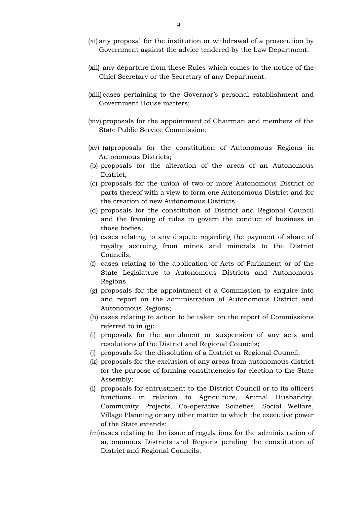- (xi) any proposal for the institution or withdrawal of a prosecution by Government against the advice tendered by the Law Department.
- (xii) any departure from these Rules which comes to the notice of the Chief Secretary or the Secretary of any Department.
- (xiii) cases pertaining to the Governor's personal establishment and Government House matters;
- (xiv) proposals for the appointment of Chairman and members of the State Public Service Commission;
- (xv) (a)proposals for the constitution of Autonomous Regions in Autonomous Districts;
- (b) proposals for the alteration of the areas of an Autonomous District;
- (c) proposals for the union of two or more Autonomous District or parts thereof with a view to form one Autonomous District and for the creation of new Autonomous Districts.
- (d) proposals for the constitution of District and Regional Council and the framing of rules to govern the conduct of business in those bodies;
- (e) cases relating to any dispute regarding the payment of share of royalty accruing from mines and minerals to the District Councils;
- (f) cases relating to the application of Acts of Parliament or of the State Legislature to Autonomous Districts and Autonomous Regions.
- (g) proposals for the appointment of a Commission to enquire into and report on the administration of Autonomous District and Autonomous Regions;
- (h) cases relating to action to be taken on the report of Commissions referred to in (g):
- (i) proposals for the annulment or suspension of any acts and resolutions of the District and Regional Councils;
- (j) proposals for the dissolution of a District or Regional Council.
- (k) proposals for the exclusion of any areas from autonomous district for the purpose of forming constituencies for election to the State Assembly;
- (l) proposals for entrustment to the District Council or to its officers functions in relation to Agriculture, Animal Husbandry, Community Projects, Co-operative Societies, Social Welfare, Village Planning or any other matter to which the executive power of the State extends;
- (m)cases relating to the issue of regulations for the administration of autonomous Districts and Regions pending the constitution of District and Regional Councils.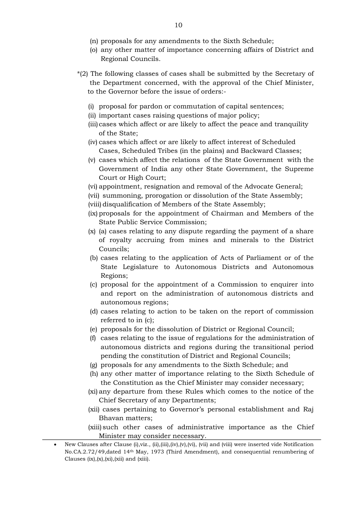- (n) proposals for any amendments to the Sixth Schedule;
- (o) any other matter of importance concerning affairs of District and Regional Councils.
- \*(2) The following classes of cases shall be submitted by the Secretary of the Department concerned, with the approval of the Chief Minister, to the Governor before the issue of orders:-
	- (i) proposal for pardon or commutation of capital sentences;
	- (ii) important cases raising questions of major policy;
	- (iii) cases which affect or are likely to affect the peace and tranquility of the State;
	- (iv) cases which affect or are likely to affect interest of Scheduled Cases, Scheduled Tribes (in the plains) and Backward Classes;
	- (v) cases which affect the relations of the State Government with the Government of India any other State Government, the Supreme Court or High Court;
	- (vi) appointment, resignation and removal of the Advocate General;
	- (vii) summoning, prorogation or dissolution of the State Assembly;
	- (viii) disqualification of Members of the State Assembly;
	- (ix) proposals for the appointment of Chairman and Members of the State Public Service Commission;
	- (x) (a) cases relating to any dispute regarding the payment of a share of royalty accruing from mines and minerals to the District Councils;
	- (b) cases relating to the application of Acts of Parliament or of the State Legislature to Autonomous Districts and Autonomous Regions;
	- (c) proposal for the appointment of a Commission to enquirer into and report on the administration of autonomous districts and autonomous regions;
	- (d) cases relating to action to be taken on the report of commission referred to in (c);
	- (e) proposals for the dissolution of District or Regional Council;
	- (f) cases relating to the issue of regulations for the administration of autonomous districts and regions during the transitional period pending the constitution of District and Regional Councils;
	- (g) proposals for any amendments to the Sixth Schedule; and
	- (h) any other matter of importance relating to the Sixth Schedule of the Constitution as the Chief Minister may consider necessary;
	- (xi) any departure from these Rules which comes to the notice of the Chief Secretary of any Departments;
	- (xii) cases pertaining to Governor's personal establishment and Raj Bhavan matters;
	- (xiii) such other cases of administrative importance as the Chief Minister may consider necessary.

<sup>•</sup> New Clauses after Clause (i),viz., (ii),(iii),(iv),(v),(vi), (vii) and (viii) were inserted vide Notification No.CA.2.72/49,dated 14th May, 1973 (Third Amendment), and consequential renumbering of Clauses  $(ix), (x), (xi), (xii)$  and  $(xiii)$ .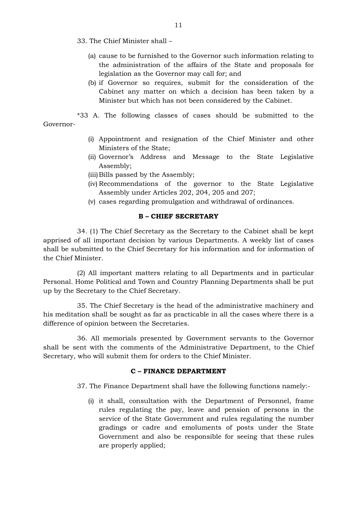- 33. The Chief Minister shall
	- (a) cause to be furnished to the Governor such information relating to the administration of the affairs of the State and proposals for legislation as the Governor may call for; and
	- (b) if Governor so requires, submit for the consideration of the Cabinet any matter on which a decision has been taken by a Minister but which has not been considered by the Cabinet.

\*33 A. The following classes of cases should be submitted to the Governor-

- (i) Appointment and resignation of the Chief Minister and other Ministers of the State;
- (ii) Governor's Address and Message to the State Legislative Assembly;
- (iii) Bills passed by the Assembly;
- (iv) Recommendations of the governor to the State Legislative Assembly under Articles 202, 204, 205 and 207;
- (v) cases regarding promulgation and withdrawal of ordinances.

# **B – CHIEF SECRETARY**

34. (1) The Chief Secretary as the Secretary to the Cabinet shall be kept apprised of all important decision by various Departments. A weekly list of cases shall be submitted to the Chief Secretary for his information and for information of the Chief Minister.

(2) All important matters relating to all Departments and in particular Personal. Home Political and Town and Country Planning Departments shall be put up by the Secretary to the Chief Secretary.

35. The Chief Secretary is the head of the administrative machinery and his meditation shall be sought as far as practicable in all the cases where there is a difference of opinion between the Secretaries.

36. All memorials presented by Government servants to the Governor shall be sent with the comments of the Administrative Department, to the Chief Secretary, who will submit them for orders to the Chief Minister.

# **C – FINANCE DEPARTMENT**

37. The Finance Department shall have the following functions namely:-

(i) it shall, consultation with the Department of Personnel, frame rules regulating the pay, leave and pension of persons in the service of the State Government and rules regulating the number gradings or cadre and emoluments of posts under the State Government and also be responsible for seeing that these rules are properly applied;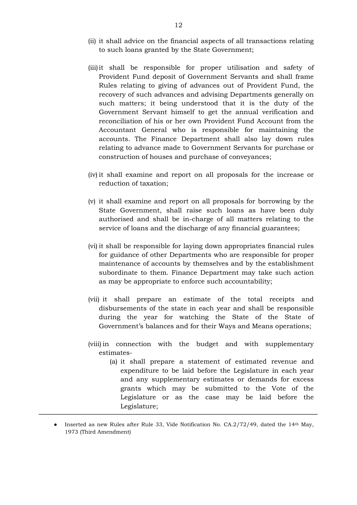- (ii) it shall advice on the financial aspects of all transactions relating to such loans granted by the State Government;
- (iii)it shall be responsible for proper utilisation and safety of Provident Fund deposit of Government Servants and shall frame Rules relating to giving of advances out of Provident Fund, the recovery of such advances and advising Departments generally on such matters; it being understood that it is the duty of the Government Servant himself to get the annual verification and reconciliation of his or her own Provident Fund Account from the Accountant General who is responsible for maintaining the accounts. The Finance Department shall also lay down rules relating to advance made to Government Servants for purchase or construction of houses and purchase of conveyances;
- (iv) it shall examine and report on all proposals for the increase or reduction of taxation;
- (v) it shall examine and report on all proposals for borrowing by the State Government, shall raise such loans as have been duly authorised and shall be in-charge of all matters relating to the service of loans and the discharge of any financial guarantees;
- (vi) it shall be responsible for laying down appropriates financial rules for guidance of other Departments who are responsible for proper maintenance of accounts by themselves and by the establishment subordinate to them. Finance Department may take such action as may be appropriate to enforce such accountability;
- (vii) it shall prepare an estimate of the total receipts and disbursements of the state in each year and shall be responsible during the year for watching the State of the State of Government's balances and for their Ways and Means operations;
- (viii) in connection with the budget and with supplementary estimates-
	- (a) it shall prepare a statement of estimated revenue and expenditure to be laid before the Legislature in each year and any supplementary estimates or demands for excess grants which may be submitted to the Vote of the Legislature or as the case may be laid before the Legislature;

<sup>•</sup> Inserted as new Rules after Rule 33, Vide Notification No. CA.2/72/49, dated the 14th May, 1973 (Third Amendment)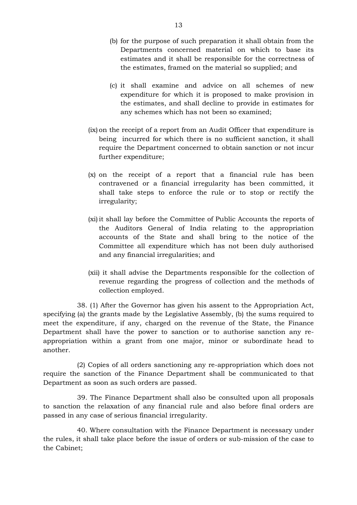- (b) for the purpose of such preparation it shall obtain from the Departments concerned material on which to base its estimates and it shall be responsible for the correctness of the estimates, framed on the material so supplied; and
- (c) it shall examine and advice on all schemes of new expenditure for which it is proposed to make provision in the estimates, and shall decline to provide in estimates for any schemes which has not been so examined;
- (ix) on the receipt of a report from an Audit Officer that expenditure is being incurred for which there is no sufficient sanction, it shall require the Department concerned to obtain sanction or not incur further expenditure;
- (x) on the receipt of a report that a financial rule has been contravened or a financial irregularity has been committed, it shall take steps to enforce the rule or to stop or rectify the irregularity;
- (xi) it shall lay before the Committee of Public Accounts the reports of the Auditors General of India relating to the appropriation accounts of the State and shall bring to the notice of the Committee all expenditure which has not been duly authorised and any financial irregularities; and
- (xii) it shall advise the Departments responsible for the collection of revenue regarding the progress of collection and the methods of collection employed.

38. (1) After the Governor has given his assent to the Appropriation Act, specifying (a) the grants made by the Legislative Assembly, (b) the sums required to meet the expenditure, if any, charged on the revenue of the State, the Finance Department shall have the power to sanction or to authorise sanction any reappropriation within a grant from one major, minor or subordinate head to another.

(2) Copies of all orders sanctioning any re-appropriation which does not require the sanction of the Finance Department shall be communicated to that Department as soon as such orders are passed.

39. The Finance Department shall also be consulted upon all proposals to sanction the relaxation of any financial rule and also before final orders are passed in any case of serious financial irregularity.

40. Where consultation with the Finance Department is necessary under the rules, it shall take place before the issue of orders or sub-mission of the case to the Cabinet;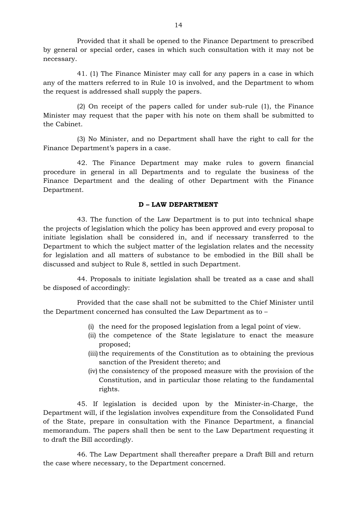Provided that it shall be opened to the Finance Department to prescribed by general or special order, cases in which such consultation with it may not be necessary.

41. (1) The Finance Minister may call for any papers in a case in which any of the matters referred to in Rule 10 is involved, and the Department to whom the request is addressed shall supply the papers.

(2) On receipt of the papers called for under sub-rule (1), the Finance Minister may request that the paper with his note on them shall be submitted to the Cabinet.

(3) No Minister, and no Department shall have the right to call for the Finance Department's papers in a case.

42. The Finance Department may make rules to govern financial procedure in general in all Departments and to regulate the business of the Finance Department and the dealing of other Department with the Finance Department.

# **D – LAW DEPARTMENT**

43. The function of the Law Department is to put into technical shape the projects of legislation which the policy has been approved and every proposal to initiate legislation shall be considered in, and if necessary transferred to the Department to which the subject matter of the legislation relates and the necessity for legislation and all matters of substance to be embodied in the Bill shall be discussed and subject to Rule 8, settled in such Department.

44. Proposals to initiate legislation shall be treated as a case and shall be disposed of accordingly:

Provided that the case shall not be submitted to the Chief Minister until the Department concerned has consulted the Law Department as to –

- (i) the need for the proposed legislation from a legal point of view.
- (ii) the competence of the State legislature to enact the measure proposed;
- (iii) the requirements of the Constitution as to obtaining the previous sanction of the President thereto; and
- (iv) the consistency of the proposed measure with the provision of the Constitution, and in particular those relating to the fundamental rights.

45. If legislation is decided upon by the Minister-in-Charge, the Department will, if the legislation involves expenditure from the Consolidated Fund of the State, prepare in consultation with the Finance Department, a financial memorandum. The papers shall then be sent to the Law Department requesting it to draft the Bill accordingly.

46. The Law Department shall thereafter prepare a Draft Bill and return the case where necessary, to the Department concerned.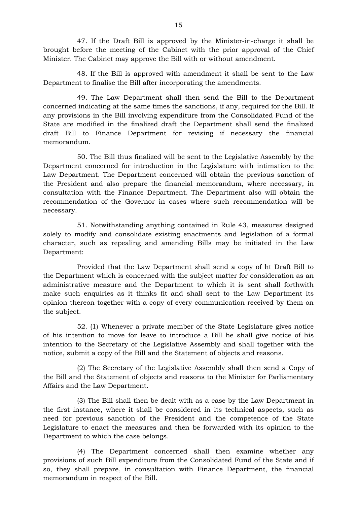47. If the Draft Bill is approved by the Minister-in-charge it shall be brought before the meeting of the Cabinet with the prior approval of the Chief Minister. The Cabinet may approve the Bill with or without amendment.

48. If the Bill is approved with amendment it shall be sent to the Law Department to finalise the Bill after incorporating the amendments.

49. The Law Department shall then send the Bill to the Department concerned indicating at the same times the sanctions, if any, required for the Bill. If any provisions in the Bill involving expenditure from the Consolidated Fund of the State are modified in the finalized draft the Department shall send the finalized draft Bill to Finance Department for revising if necessary the financial memorandum.

50. The Bill thus finalized will be sent to the Legislative Assembly by the Department concerned for introduction in the Legislature with intimation to the Law Department. The Department concerned will obtain the previous sanction of the President and also prepare the financial memorandum, where necessary, in consultation with the Finance Department. The Department also will obtain the recommendation of the Governor in cases where such recommendation will be necessary.

51. Notwithstanding anything contained in Rule 43, measures designed solely to modify and consolidate existing enactments and legislation of a formal character, such as repealing and amending Bills may be initiated in the Law Department:

Provided that the Law Department shall send a copy of ht Draft Bill to the Department which is concerned with the subject matter for consideration as an administrative measure and the Department to which it is sent shall forthwith make such enquiries as it thinks fit and shall sent to the Law Department its opinion thereon together with a copy of every communication received by them on the subject.

52. (1) Whenever a private member of the State Legislature gives notice of his intention to move for leave to introduce a Bill he shall give notice of his intention to the Secretary of the Legislative Assembly and shall together with the notice, submit a copy of the Bill and the Statement of objects and reasons.

(2) The Secretary of the Legislative Assembly shall then send a Copy of the Bill and the Statement of objects and reasons to the Minister for Parliamentary Affairs and the Law Department.

(3) The Bill shall then be dealt with as a case by the Law Department in the first instance, where it shall be considered in its technical aspects, such as need for previous sanction of the President and the competence of the State Legislature to enact the measures and then be forwarded with its opinion to the Department to which the case belongs.

(4) The Department concerned shall then examine whether any provisions of such Bill expenditure from the Consolidated Fund of the State and if so, they shall prepare, in consultation with Finance Department, the financial memorandum in respect of the Bill.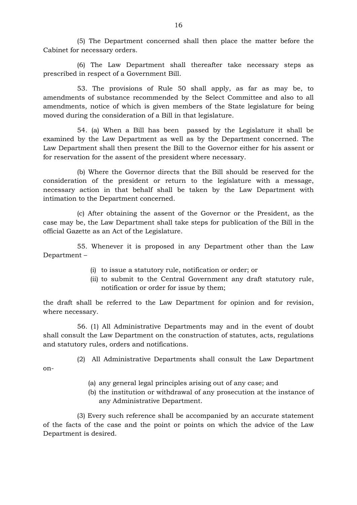(5) The Department concerned shall then place the matter before the Cabinet for necessary orders.

(6) The Law Department shall thereafter take necessary steps as prescribed in respect of a Government Bill.

53. The provisions of Rule 50 shall apply, as far as may be, to amendments of substance recommended by the Select Committee and also to all amendments, notice of which is given members of the State legislature for being moved during the consideration of a Bill in that legislature.

54. (a) When a Bill has been passed by the Legislature it shall be examined by the Law Department as well as by the Department concerned. The Law Department shall then present the Bill to the Governor either for his assent or for reservation for the assent of the president where necessary.

(b) Where the Governor directs that the Bill should be reserved for the consideration of the president or return to the legislature with a message, necessary action in that behalf shall be taken by the Law Department with intimation to the Department concerned.

(c) After obtaining the assent of the Governor or the President, as the case may be, the Law Department shall take steps for publication of the Bill in the official Gazette as an Act of the Legislature.

55. Whenever it is proposed in any Department other than the Law Department –

- (i) to issue a statutory rule, notification or order; or
- (ii) to submit to the Central Government any draft statutory rule, notification or order for issue by them;

the draft shall be referred to the Law Department for opinion and for revision, where necessary.

56. (1) All Administrative Departments may and in the event of doubt shall consult the Law Department on the construction of statutes, acts, regulations and statutory rules, orders and notifications.

(2) All Administrative Departments shall consult the Law Department

on-

- (a) any general legal principles arising out of any case; and
- (b) the institution or withdrawal of any prosecution at the instance of any Administrative Department.

(3) Every such reference shall be accompanied by an accurate statement of the facts of the case and the point or points on which the advice of the Law Department is desired.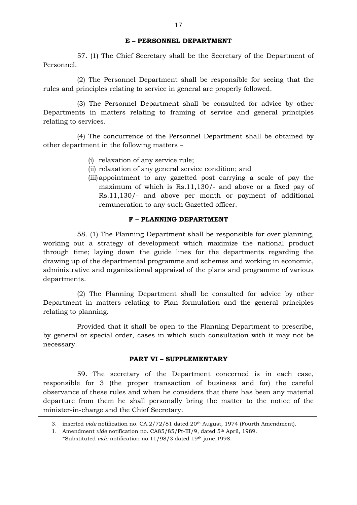## **E – PERSONNEL DEPARTMENT**

57. (1) The Chief Secretary shall be the Secretary of the Department of Personnel.

(2) The Personnel Department shall be responsible for seeing that the rules and principles relating to service in general are properly followed.

(3) The Personnel Department shall be consulted for advice by other Departments in matters relating to framing of service and general principles relating to services.

(4) The concurrence of the Personnel Department shall be obtained by other department in the following matters –

- (i) relaxation of any service rule;
- (ii) relaxation of any general service condition; and
- (iii)appointment to any gazetted post carrying a scale of pay the maximum of which is Rs.11,130/- and above or a fixed pay of Rs.11,130/- and above per month or payment of additional remuneration to any such Gazetted officer.

#### **F – PLANNING DEPARTMENT**

58. (1) The Planning Department shall be responsible for over planning, working out a strategy of development which maximize the national product through time; laying down the guide lines for the departments regarding the drawing up of the departmental programme and schemes and working in economic, administrative and organizational appraisal of the plans and programme of various departments.

(2) The Planning Department shall be consulted for advice by other Department in matters relating to Plan formulation and the general principles relating to planning.

Provided that it shall be open to the Planning Department to prescribe, by general or special order, cases in which such consultation with it may not be necessary.

### **PART VI – SUPPLEMENTARY**

59. The secretary of the Department concerned is in each case, responsible for 3 (the proper transaction of business and for) the careful observance of these rules and when he considers that there has been any material departure from them he shall personally bring the matter to the notice of the minister-in-charge and the Chief Secretary.

<sup>3.</sup> inserted *vide* notification no. CA.2/72/81 dated 20th August, 1974 (Fourth Amendment).

<sup>1.</sup> Amendment *vide* notification no. CA85/85/Pt-III/9, dated 5th April, 1989.

<sup>\*</sup>Substituted *vide* notification no.11/98/3 dated 19th june,1998.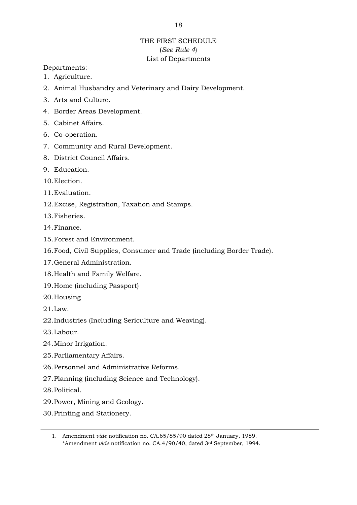# THE FIRST SCHEDULE (*See Rule 4*) List of Departments

Departments:-

- 1. Agriculture.
- 2. Animal Husbandry and Veterinary and Dairy Development.
- 3. Arts and Culture.
- 4. Border Areas Development.
- 5. Cabinet Affairs.
- 6. Co-operation.
- 7. Community and Rural Development.
- 8. District Council Affairs.
- 9. Education.
- 10.Election.
- 11.Evaluation.
- 12.Excise, Registration, Taxation and Stamps.
- 13.Fisheries.
- 14.Finance.
- 15.Forest and Environment.
- 16.Food, Civil Supplies, Consumer and Trade (including Border Trade).
- 17.General Administration.
- 18.Health and Family Welfare.
- 19.Home (including Passport)
- 20.Housing
- 21.Law.
- 22.Industries (Including Sericulture and Weaving).
- 23.Labour.
- 24.Minor Irrigation.
- 25.Parliamentary Affairs.
- 26.Personnel and Administrative Reforms.
- 27.Planning (including Science and Technology).
- 28.Political.
- 29.Power, Mining and Geology.
- 30.Printing and Stationery.

<sup>1.</sup> Amendment *vide* notification no. CA.65/85/90 dated 28th January, 1989. \*Amendment *vide* notification no. CA.4/90/40, dated 3rd September, 1994.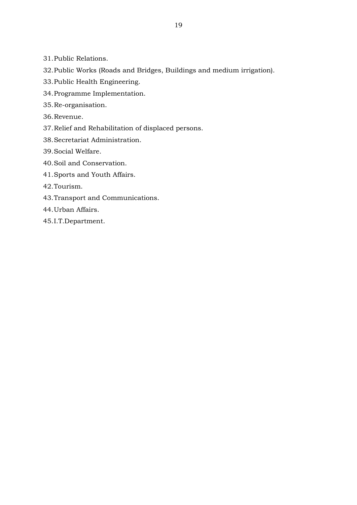- 31.Public Relations.
- 32.Public Works (Roads and Bridges, Buildings and medium irrigation).
- 33.Public Health Engineering.
- 34.Programme Implementation.
- 35.Re-organisation.
- 36.Revenue.
- 37.Relief and Rehabilitation of displaced persons.
- 38.Secretariat Administration.
- 39.Social Welfare.
- 40.Soil and Conservation.
- 41.Sports and Youth Affairs.
- 42.Tourism.
- 43.Transport and Communications.
- 44.Urban Affairs.
- 45.I.T.Department.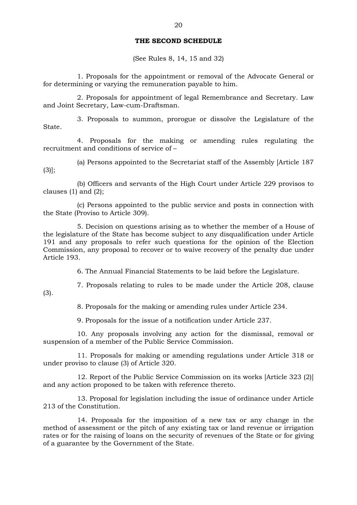### **THE SECOND SCHEDULE**

(See Rules 8, 14, 15 and 32)

1. Proposals for the appointment or removal of the Advocate General or for determining or varying the remuneration payable to him.

2. Proposals for appointment of legal Remembrance and Secretary. Law and Joint Secretary, Law-cum-Draftsman.

3. Proposals to summon, prorogue or dissolve the Legislature of the State.

4. Proposals for the making or amending rules regulating the recruitment and conditions of service of –

(a) Persons appointed to the Secretariat staff of the Assembly [Article 187  $(3)$ ];

(b) Officers and servants of the High Court under Article 229 provisos to clauses  $(1)$  and  $(2)$ ;

(c) Persons appointed to the public service and posts in connection with the State (Proviso to Article 309).

5. Decision on questions arising as to whether the member of a House of the legislature of the State has become subject to any disqualification under Article 191 and any proposals to refer such questions for the opinion of the Election Commission, any proposal to recover or to waive recovery of the penalty due under Article 193.

6. The Annual Financial Statements to be laid before the Legislature.

7. Proposals relating to rules to be made under the Article 208, clause

8. Proposals for the making or amending rules under Article 234.

9. Proposals for the issue of a notification under Article 237.

(3).

10. Any proposals involving any action for the dismissal, removal or suspension of a member of the Public Service Commission.

11. Proposals for making or amending regulations under Article 318 or under proviso to clause (3) of Article 320.

12. Report of the Public Service Commission on its works [Article 323 (2)] and any action proposed to be taken with reference thereto.

13. Proposal for legislation including the issue of ordinance under Article 213 of the Constitution.

14. Proposals for the imposition of a new tax or any change in the method of assessment or the pitch of any existing tax or land revenue or irrigation rates or for the raising of loans on the security of revenues of the State or for giving of a guarantee by the Government of the State.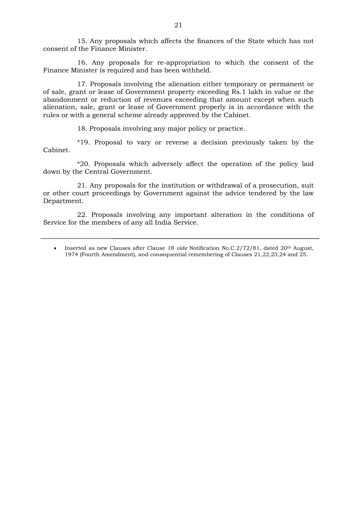15. Any proposals which affects the finances of the State which has not consent of the Finance Minister.

16. Any proposals for re-appropriation to which the consent of the Finance Minister is required and has been withheld.

17. Proposals involving the alienation either temporary or permanent or of sale, grant or lease of Government property exceeding Rs.1 lakh in value or the abandonment or reduction of revenues exceeding that amount except when such alienation, sale, grant or lease of Government properly is in accordance with the rules or with a general scheme already approved by the Cabinet.

18. Proposals involving any major policy or practice.

\*19. Proposal to vary or reverse a decision previously taken by the Cabinet.

\*20. Proposals which adversely affect the operation of the policy laid down by the Central Government.

21. Any proposals for the institution or withdrawal of a prosecution, suit or other court proceedings by Government against the advice tendered by the law Department.

22. Proposals involving any important alteration in the conditions of Service for the members of any all India Service.

<sup>•</sup> Inserted as new Clauses after Clause 18 *vide* Notification No.C.2/72/81, dated 20th August, 1974 (Fourth Amendment), and consequential remembering of Clauses 21,22,23,24 and 25.